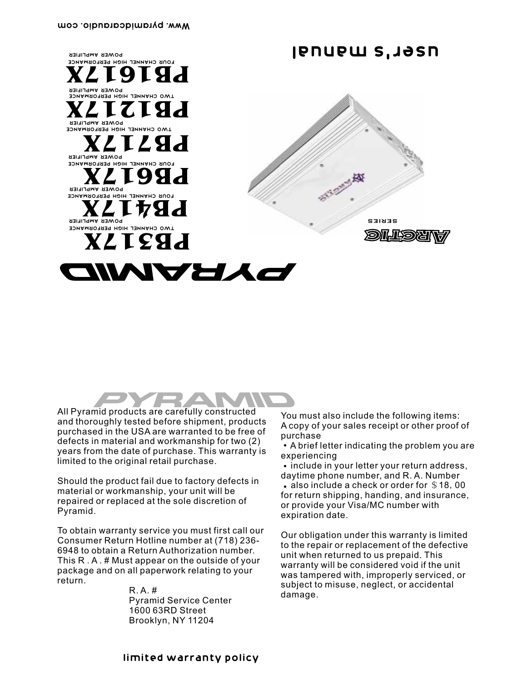



All Pyramid products are carefully constructed and thoroughly tested before shipment, products purchased in the USA are warranted to be free of defects in material and workmanship for two (2) years from the date of purchase. This warranty is limited to the original retail purchase.

Should the product fail due to factory defects in material or workmanship, your unit will be repaired or replaced at the sole discretion of Pyramid.

To obtain warranty service you must first call our Consumer Return Hotline number at (718) 236- 6948 to obtain a Return Authorization number. This R . A . # Must appear on the outside of your package and on all paperwork relating to your return.

> R. A. # Pyramid Service Center 1600 63RD Street Brooklyn, NY 11204

You must also include the following items: A copy of your sales receipt or other proof of purchase

A brief letter indicating the problem you are experiencing

• include in your letter your return address, daytime phone number, and R. A. Number • also include a check or order for \$18,00 for return shipping, handing, and insurance, or provide your Visa/MC number with expiration date.

Our obligation under this warranty is limited to the repair or replacement of the defective unit when returned to us prepaid. This warranty will be considered void if the unit was tampered with, improperly serviced, or subject to misuse, neglect, or accidental damage.

limited warranty policy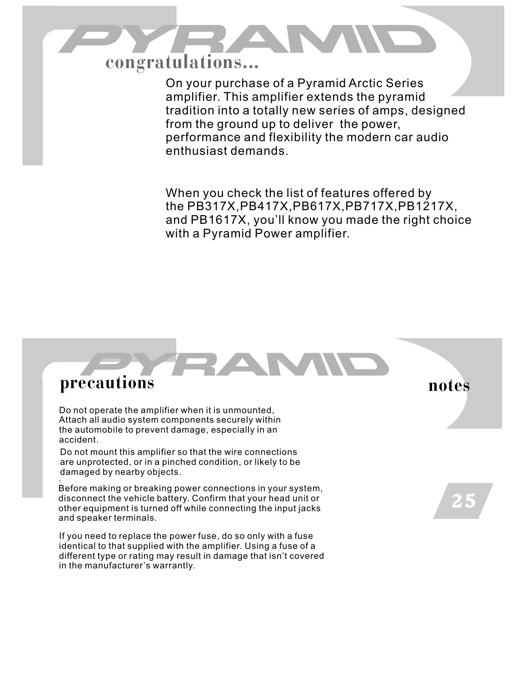

On your purchase of a Pyramid Arctic Series amplifier. This amplifier extends the pyramid tradition into a totally new series of amps, designed from the ground up to deliver the power, performance and flexibility the modern car audio enthusiast demands.

When you check the list of features offered by the PB317X,PB417X,PB617X,PB717X,PB1217X, and PB1617X, you'll know you made the right choice with a Pyramid Power amplifier.

## **precautions**

Do not operate the amplifier when it is unmounted, Attach all audio system components securely within the automobile to prevent damage, especially in an accident.

Do not mount this amplifier so that the wire connections are unprotected, or in a pinched condition, or likely to be damaged by nearby objects. .

Before making or breaking power connections in your system, disconnect the vehicle battery. Confirm that your head unit or other equipment is turned off while connecting the input jacks and speaker terminals.

If you need to replace the power fuse, do so only with a fuse identical to that supplied with the amplifier. Using a fuse of a different type or rating may result in damage that isn't covered in the manufacturer's warrantly.

**notes**

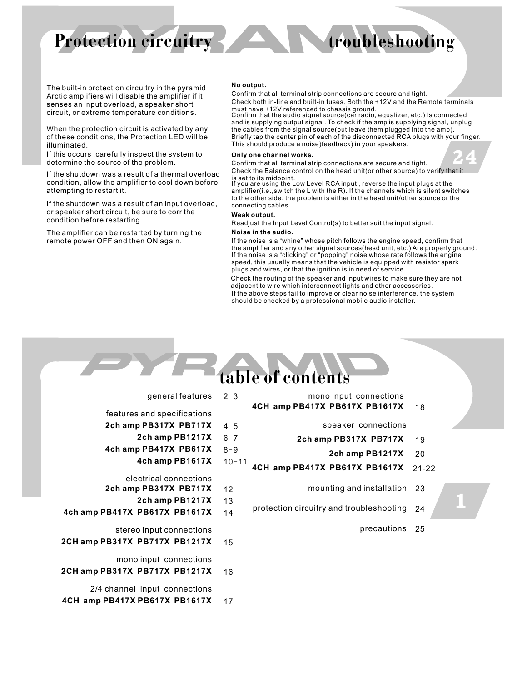# **Protection circuitry**

24

The built-in protection circuitry in the pyramid Arctic amplifiers will disable the amplifier if it senses an input overload, a speaker short circuit, or extreme temperature conditions.

When the protection circuit is activated by any of these conditions, the Protection LED will be illuminated.

If this occurs ,carefully inspect the system to determine the source of the problem.

If the shutdown was a result of a thermal overload condition, allow the amplifier to cool down before attempting to restart it.

If the shutdown was a result of an input overload, or speaker short circuit, be sure to corr the condition before restarting.

The amplifier can be restarted by turning the remote power OFF and then ON again.

### **No output.**

Check both in-line and built-in fuses. Both the +12V and the Remote terminals must have +12V referenced to chassis ground. Confirm that all terminal strip connections are secure and tight.

Confirm that the audio signal source(car radio, equalizer, etc.) Is connected and is supplying output signal. To check if the amp is supplying signal, unplug the cables from the signal source(but leave them plugged into the amp). Briefly tap the center pin of each of the disconnected RCA plugs with your finger. This should produce a noise)feedback) in your speakers.

### **Only one channel works.**

Confirm that all terminal strip connections are secure and tight. Check the Balance control on the head unit(or other source) to verify that it

is set to its midpoint.<br>If you are using the Low Level RCA input , reverse the input plugs at the amplifier(i.e.,switch the L with the R). If the channels which is silent switches to the other side, the problem is either in the head unit/other source or the connecting cables.

### **Weak output.**

Readjust the Input Level Control(s) to better suit the input signal.

### **Noise in the audio.**

If the noise is a "clicking" or "popping" noise whose rate follows the engine speed, this usually means that the vehicle is equipped with resistor spark plugs and wires, or that the ignition is in need of service. If the noise is a "whine" whose pitch follows the engine speed, confirm that the amplifier and any other signal sources(hesd unit, etc.) Are properly ground.

If the above steps fail to improve or clear noise interference, the system should be checked by a professional mobile audio installer. Check the routing of the speaker and input wires to make sure they are not adjacent to wire which interconnect lights and other accessories.

### **table of contents** general features 2-3 features and specifications 1  $4 - 5$ **2ch amp PB317X PB717X 2ch amp PB1217X** 6-7 **4ch amp PB417X PB617X** 8-9 **4ch amp PB1617X** 10-11 electrical connections **2ch amp PB317X PB717X** 12 **2ch amp PB1217X** 13 **4ch amp PB417X PB617X PB1617X** 14 stereo input connections **2CH amp PB317X PB717X PB1217X** 15 mono input connections **2CH amp PB317X PB717X PB1217X** 16 18 19 **2ch amp PB1217X 2ch amp PB317X PB717X** speaker connections 20 **4CH amp PB417X PB617X PB1617X** 21-22 mounting and installation 23 protection circuitry and troubleshooting 24 precautions 25 mono input connections **4CH amp PB417X PB617X PB1617X**

2/4 channel input connections **4CH amp PB417X PB617X PB1617X** 17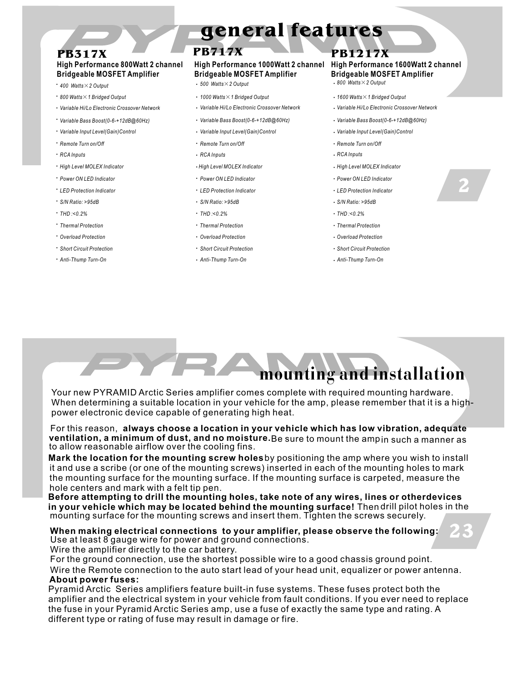# **general features**

## **PB317X PB717X PB1217X**

## **High Performance 800Watt 2 channel Bridgeable MOSFET Amplifier**

- 
- 
- · Variable Hi/Lo Electronic Crossover Network
- · Variable Bass Boost(0-6-+12dB@60Hz)
- 
- \* Remote Turn on/Off
- · RCA Inputs *RCA Inputs* .*RCA Inputs* .*RCA Inputs*
- · High Level MOLEX Indicator
- \* Power ON LED Indicator
- **· LED Protection Indicator**
- . *S/N Ratio: >95dB*
- . *THD :<0.2%*
- . *Thermal Protection*
- . *Overload Protection*
- . *Short Circuit Protection*
- . *Anti-Thump Turn-On*

### **High Performance 1000Watt 2 channel Bridgeable MOSFET Amplifier**

- .*<sup>400</sup> Watts*×*<sup>2</sup> Output* .*<sup>800</sup> Watts*×*<sup>2</sup> Output* .*<sup>500</sup> Watts*×*<sup>2</sup> Output*
- .*<sup>800</sup> Watts*×*<sup>1</sup> Bridged Output* .*<sup>1000</sup> Watts*×*<sup>1</sup> Bridged Output* .*<sup>1600</sup> Watts*×*<sup>1</sup> Bridged Output*
	- Variable Hi/Lo Electronic Crossover Network Crossover Network Crossover Network
- .*Variable Bass Boost(0-6-+12dB@60Hz)* . *Variable Bass Boost(0-6-+12dB@60Hz) Variable Bass Boost(0-6-+12dB@60Hz)*
- . *Variable Input Level(Gain)Control* .*Variable Input Level(Gain)Control* .*Variable Input Level(Gain)Control*
	- *Remote Turn on/Off* .*Remote Turn on/Off* .*Remote Turn on/Off*
	-
	-
	- *Power ON LED Indicator* .*Power ON LED Indicator* .*Power ON LED Indicator*
	- *LED Protection Indicator* .*LED Protection Indicator* .*LED Protection Indicator*
	- . *S/N Ratio: >95dB*
	- . *THD :<0.2%*
	- . *Thermal Protection*
	- . *Overload Protection*
	- . *Short Circuit Protection*
	- . *Anti-Thump Turn-On*

### **High Performance 1600Watt 2 channel Bridgeable MOSFET Amplifier**

- 
- 
- 
- 
- 
- 
- *High Level MOLEX Indicator* .*High Level MOLEX Indicator* .*High Level MOLEX Indicator*
	-
	-
	- . *S/N Ratio: >95dB*
	- . *THD :<0.2%*
	- . *Thermal Protection*
	- . *Overload Protection*
	- . *Short Circuit Protection*
	- . *Anti-Thump Turn-On*

# 2

23

**mounting and installation**

Your new PYRAMID Arctic Series amplifier comes complete with required mounting hardware. When determining a suitable location in your vehicle for the amp, please remember that it is a highpower electronic device capable of generating high heat.

For this reason, **always choose a location in your vehicle which has low vibration, adequate**  $\boldsymbol{v}$  **entilation, a minimum of dust, and no moisture.**Be sure to mount the ampin such a manner as to allow reasonable airflow over the cooling fins.

**Mark the location for the mounting screw holes**by positioning the amp where you wish to install it and use a scribe (or one of the mounting screws) inserted in each of the mounting holes to mark the mounting surface for the mounting surface. If the mounting surface is carpeted, measure the hole centers and mark with a felt tip pen.

**in your vehicle which may be located behind the mounting surface! Thendrill pilot holes in the** mounting surface for the mounting screws and insert them. Tighten the screws securely. **Before attempting to drill the mounting holes, take note of any wires, lines or otherdevices**

### Use at least 8 gauge wire for power and ground connections. **When making electrical connections to your amplifier, please observe the following:**

Wire the amplifier directly to the car battery.

For the ground connection, use the shortest possible wire to a good chassis ground point.

**About power fuses:** Wire the Remote connection to the auto start lead of your head unit, equalizer or power antenna.

Pyramid Arctic Series amplifiers feature built-in fuse systems. These fuses protect both the amplifier and the electrical system in your vehicle from fault conditions. If you ever need to replace the fuse in your Pyramid Arctic Series amp, use a fuse of exactly the same type and rating. A different type or rating of fuse may result in damage or fire.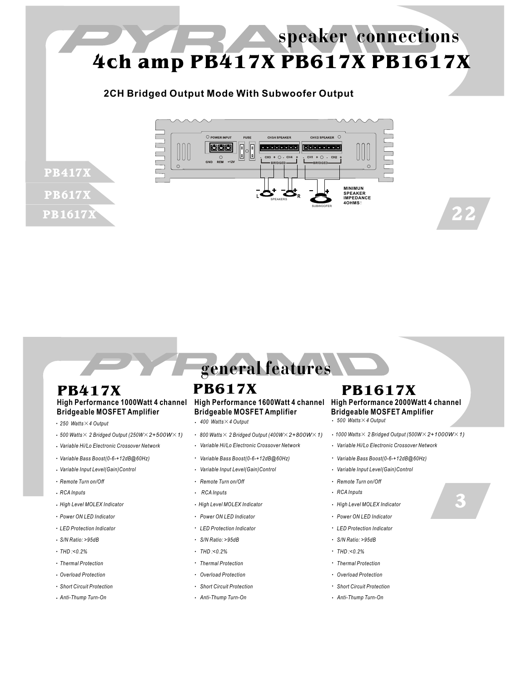# **4ch amp PB417X PB617X PB1617X speaker connections**

## **2CH Bridged Output Mode With Subwoofer Output**



**general features**

## **PB417X PB617X PB1617X High Performance 1000Watt 4 channel Bridgeable MOSFET Amplifier**

.*<sup>250</sup> Watts*×*<sup>4</sup> Output* .*<sup>500</sup> Watts*×*<sup>4</sup> Output* .*<sup>400</sup> Watts*×*<sup>4</sup> Output*

PB417X

PB617X

PB1617X

- .*<sup>500</sup> Watts*<sup>×</sup> *<sup>2</sup> Bridged Output (250W*×*2+500W*×*1)* . .
- Variable Hi/Lo Electronic Crossover Network
- Variable Bass Boost(0-6-+12dB@60Hz)
- Variable Input Level(Gain)Control
- · Remote Turn on/Off
- . RCA Inputs
- High Level MOLEX Indicator
- Power ON LED Indicator
- LED Protection Indicator
- . *S/N Ratio: >95dB*
- . *THD :<0.2%*
- . *Thermal Protection*
- . *Overload Protection*
- . *Short Circuit Protection*
- . *Anti-Thump Turn-On*

### **High Performance 1600Watt 4 channel High Performance 2000Watt 4 channel Bridgeable MOSFET Amplifier**

- 
- 
- 
- 
- *Remote Turn on/Off* .*Remote Turn on/Off* .*Remote Turn on/Off*
- *RCA Inputs* .*RCA Inputs* .*RCA Inputs*
	-
	- *Power ON LED Indicator* .*Power ON LED Indicator* .*Power ON LED Indicator*
	- *LED Protection Indicator* .*LED Protection Indicator* .*LED Protection Indicator*
	- . *S/N Ratio: >95dB*
	- . *THD :<0.2%*
	- . *Thermal Protection*
	- . *Overload Protection*
	- . *Short Circuit Protection*
	- . *Anti-Thump Turn-On*

# **Bridgeable MOSFET Amplifier**

- 
- *800 Watts*× *2 Bridged Output (400W*×*2+800W*×*1) 1000 Watts*× *2 Bridged Output (500W*×*2+1000W*×*1)*
- · Variable Hi/Lo Electronic Crossover Network . Variable Hi/Lo Electronic Crossover Network
- *Variable Bass Boost(0-6-+12dB@60Hz)* .*Variable Bass Boost(0-6-+12dB@60Hz)* .*Variable Bass Boost(0-6-+12dB@60Hz)*
- *Variable Input Level(Gain)Control* .*Variable Input Level(Gain)Control* .*Variable Input Level(Gain)Control*
	-
	-
- *High Level MOLEX Indicator* .*High Level MOLEX Indicator* .*High Level MOLEX Indicator*
	-
	-
	- . *S/N Ratio: >95dB*
	- . *THD :<0.2%*
	- . *Thermal Protection*
	- . *Overload Protection*
	- . *Short Circuit Protection*
	- . *Anti-Thump Turn-On*
- 3
- 

22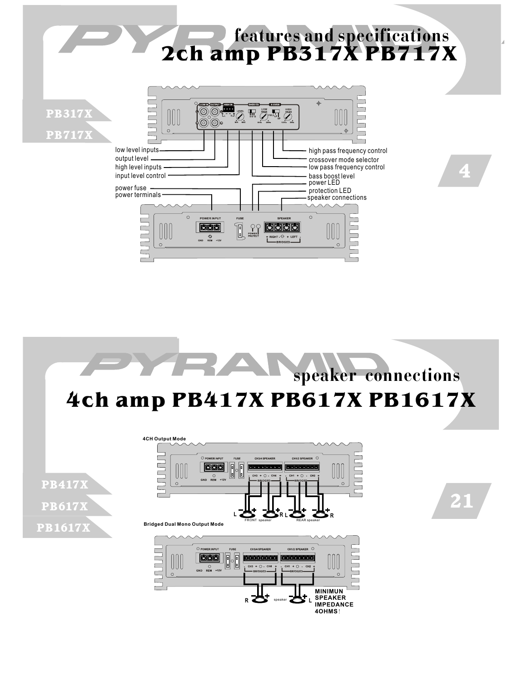



**4OHMS**!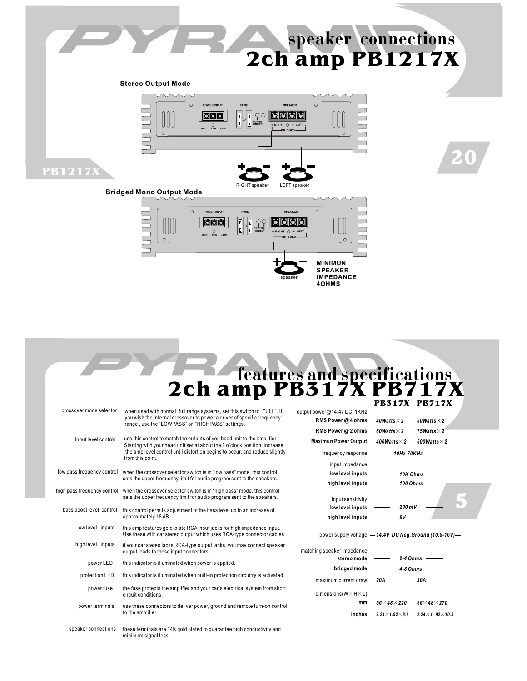# **2ch amp PB1217X speaker connections**

20

**Stereo Output Mode**



**features and specifications 2ch amp PB317X PB717X**

**MINIMUN SPEAKER IMPEDANCE 4OHMS**!

speaker

|                             |                                                                                                                                                        |                                                         |                                            | <b>PR317X PR717X</b>           |
|-----------------------------|--------------------------------------------------------------------------------------------------------------------------------------------------------|---------------------------------------------------------|--------------------------------------------|--------------------------------|
| crossover mode selector     | when used with normal, full range systems, set this switch to "FULL". If                                                                               | output power@14.4v DC, 1KHz                             |                                            |                                |
|                             | you wish the internal crossover to power a driver of specific frequency<br>range, use the "LOWPASS" or "HIGHPASS" settings.                            | RMS Power @ 4 ohms                                      | 40Watts $\times$ 2                         | 50Watts $\times$ 2             |
|                             |                                                                                                                                                        | RMS Power @ 2 ohms                                      | 60Watts $\times$ 2                         | 75Watts $\times$ 2             |
| input level control         | use this control to match the outputs of you head unit to the amplifier.<br>Starting with your head unit set at about the 2 o'clock position, increase | <b>Maximun Power Output</b>                             | 400Watts $\times$ 2                        | 500 Watts $\times$ 2           |
|                             | the amp level control until distortion begins to occur, and reduce slightly<br>from this point.                                                        | frequency response                                      | $\longrightarrow$ 10Hz-70KHz $\rightarrow$ |                                |
|                             |                                                                                                                                                        | input impedance                                         |                                            |                                |
| low pass frequency control  | when the crossover selector switch is in "low pass" mode, this control<br>sets the upper frequency limit for audio program sent to the speakers.       | low level inputs                                        |                                            | 10K Ohms $-$                   |
|                             |                                                                                                                                                        | high level inputs                                       |                                            | 100 Ohms -                     |
| high pass frequency control | when the crossover selector switch is in "high pass" mode, this control<br>sets the upper frequency limit for audio program sent to the speakers.      | input sensitivity                                       |                                            |                                |
| bass boost level control    | this control permits adjustment of the bass level up to an increase of<br>approximately 18 dB.                                                         | low level inputs                                        | 200 mV                                     |                                |
|                             |                                                                                                                                                        | high level inputs                                       | 5V                                         |                                |
| low level inputs            | this amp features gold-plate RCA input jacks for high impedance input.<br>Use these with car stereo output which uses RCA-type connector cables.       | power supply voltage - 14.4V DC Neg. Ground (10.5-16V)- |                                            |                                |
| high level inputs           | if your car stereo lacks RCA-type output jacks, you may connect speaker<br>output leads to these input connectors.                                     | matching speaker impedance                              |                                            |                                |
| power LED                   | this indicator is illuminated when power is applied.                                                                                                   | stereo mode                                             | $2-4$ Ohms $-$                             |                                |
| protection LED              | this indicator is illuminated when built-in protection circuitry is activated.                                                                         | bridged mode                                            | $4-8$ Ohms                                 |                                |
|                             |                                                                                                                                                        | maximum current draw                                    | 20A                                        | 30A                            |
| power fuse                  | the fuse protects the amplifier and your car's electrical system from short<br>circuit conditions.                                                     | dimensions( $W \times H \times L$ )                     |                                            |                                |
| power terminals             | use these connectors to deliver power, ground and remote turn-on control<br>to the amplifier.                                                          | mm                                                      | $56\times48\times220$                      | $56\times48\times270$          |
|                             |                                                                                                                                                        | inches                                                  | $2.24 \times 1.92 \times 8.8$              | $2.24 \times 1.92 \times 10.8$ |
| speaker connections         | these terminals are 14K gold plated to quarantee high conductivity and<br>minimum signal loss.                                                         |                                                         |                                            |                                |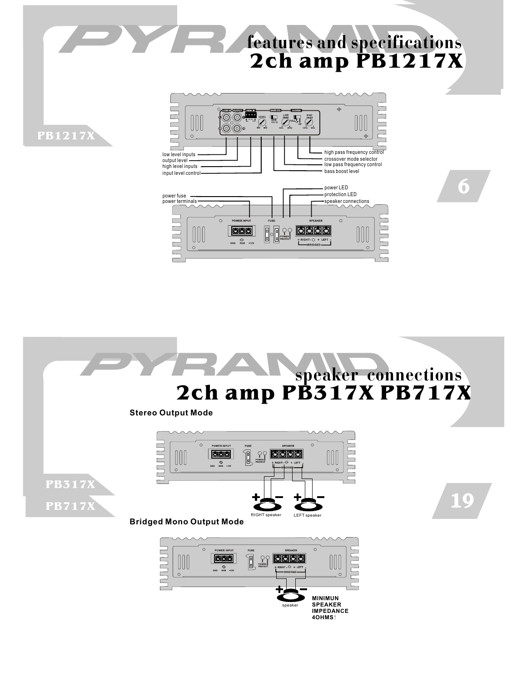# **features and specifications 2ch amp PB1217X**

6





**IMPEDANCE 4OHMS**!

**PB1217X**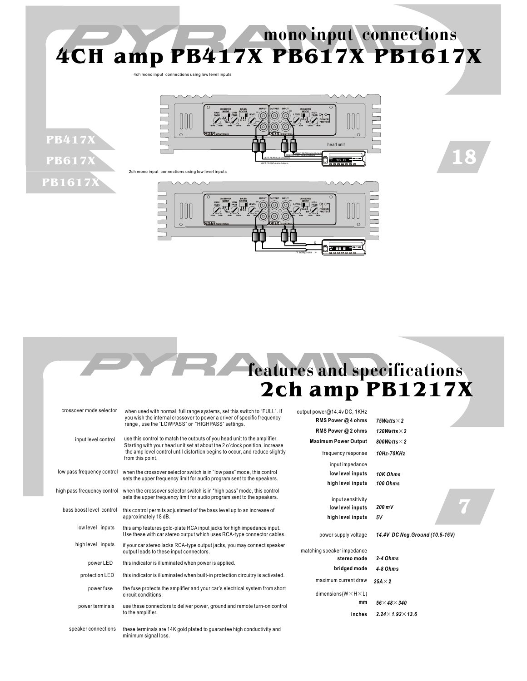



**PB417X**

**PB617X**

**PB1617X**





18

| crossover mode selector     | when used with normal, full range systems, set this switch to "FULL". If<br>you wish the internal crossover to power a driver of specific frequency<br>range, use the "LOWPASS" or "HIGHPASS" settings. | output power@14.4v DC, 1KHz<br>RMS Power @ 4 ohms | 75Watts $\times$ 2              |
|-----------------------------|---------------------------------------------------------------------------------------------------------------------------------------------------------------------------------------------------------|---------------------------------------------------|---------------------------------|
|                             |                                                                                                                                                                                                         |                                                   |                                 |
|                             |                                                                                                                                                                                                         | RMS Power @ 2 ohms                                | 120Watts $\times$ 2             |
| input level control         | use this control to match the outputs of you head unit to the amplifier.<br>Starting with your head unit set at about the 2 o'clock position, increase                                                  | <b>Maximum Power Output</b>                       | 800Watts $\times$ 2             |
|                             | the amp level control until distortion begins to occur, and reduce slightly<br>from this point.                                                                                                         | frequency response                                | 10Hz-70KHz                      |
|                             |                                                                                                                                                                                                         | input impedance                                   |                                 |
|                             | low pass frequency control when the crossover selector switch is in "low pass" mode, this control<br>sets the upper frequency limit for audio program sent to the speakers.                             | low level inputs                                  | 10K Ohms                        |
|                             |                                                                                                                                                                                                         | high level inputs                                 | 100 Ohms                        |
| high pass frequency control | when the crossover selector switch is in "high pass" mode, this control                                                                                                                                 |                                                   |                                 |
|                             | sets the upper frequency limit for audio program sent to the speakers.                                                                                                                                  | input sensitivity                                 |                                 |
| bass boost level control    | this control permits adjustment of the bass level up to an increase of<br>approximately 18 dB.                                                                                                          | low level inputs                                  | $200 \text{ mV}$                |
|                             |                                                                                                                                                                                                         | high level inputs                                 | 5V                              |
| low level inputs            | this amp features gold-plate RCA input jacks for high impedance input.<br>Use these with car stereo output which uses RCA-type connector cables.                                                        | power supply voltage                              | 14.4V DC Neg. Ground (10.5-16V) |
| high level inputs           | if your car stereo lacks RCA-type output jacks, you may connect speaker<br>output leads to these input connectors.                                                                                      | matching speaker impedance                        |                                 |
| power LED                   | this indicator is illuminated when power is applied.                                                                                                                                                    | stereo mode                                       | $2-4$ Ohms                      |
|                             |                                                                                                                                                                                                         | bridged mode                                      | $4-8$ Ohms                      |
| protection LED              | this indicator is illuminated when built-in protection circuitry is activated.                                                                                                                          | maximum current draw                              | $25A \times 2$                  |
| power fuse                  | the fuse protects the amplifier and your car's electrical system from short<br>circuit conditions.                                                                                                      | dimensions ( $W \times H \times L$ )              |                                 |
| power terminals             | use these connectors to deliver power, ground and remote turn-on control<br>to the amplifier.                                                                                                           | mm                                                | $56\times$ 48 $\times$ 340      |
|                             |                                                                                                                                                                                                         | inches                                            | $2.24 \times 1.92 \times 13.6$  |
| speaker connections         | these terminals are 14K gold plated to guarantee high conductivity and<br>minimum signal loss.                                                                                                          |                                                   |                                 |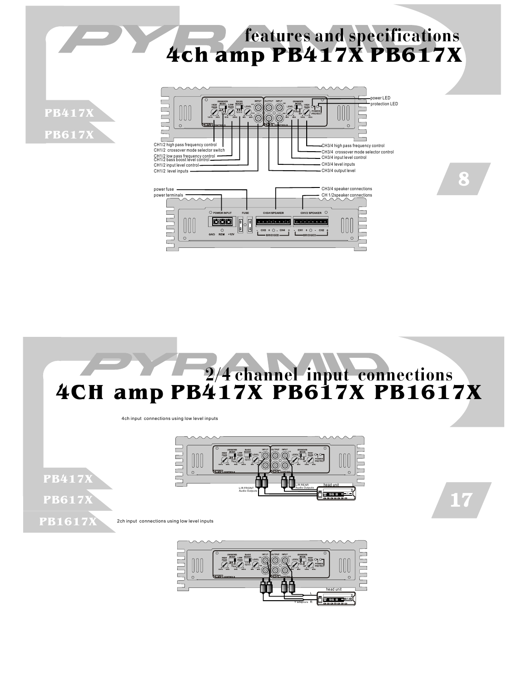

 $CH3 + O - CH4$ 

 $\overline{O}$ 

UUL

 $H1 + Q - CH2$ 

<u>r</u>

٦



4ch input connections using low level inputs

 $\Xi$ 

**PB417X PB617X**



17

2ch input connections using low level inputs **PB1617X**

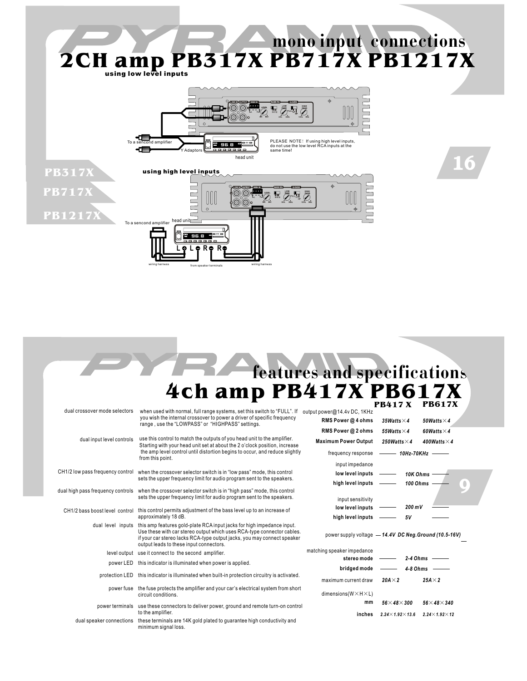

# **features and specifications PB417 X PB617X 4ch amp PB417X PB617X**

|                                |                                                                                                                                                                                                                                                                        |                                                        | <i>d</i> tii in                | 1 DV1 1 11               |  |
|--------------------------------|------------------------------------------------------------------------------------------------------------------------------------------------------------------------------------------------------------------------------------------------------------------------|--------------------------------------------------------|--------------------------------|--------------------------|--|
| dual crossover mode selectors  | when used with normal, full range systems, set this switch to "FULL". If<br>you wish the internal crossover to power a driver of specific frequency<br>range, use the "LOWPASS" or "HIGHPASS" settings.                                                                | output power@14.4v DC, 1KHz<br>RMS Power @ 4 ohms      | 35Watts $\times$ 4             | 50Watts $\times$ 4       |  |
|                                |                                                                                                                                                                                                                                                                        | RMS Power @ 2 ohms                                     | 55Watts $\times$ 4             | 60Watts $\times$ 4       |  |
| dual input level controls      | use this control to match the outputs of you head unit to the amplifier.<br>Starting with your head unit set at about the 2 o'clock position, increase                                                                                                                 | <b>Maximum Power Output</b>                            | 250Watts $\times$ 4            | 400Watts $\times$ 4      |  |
|                                | the amp level control until distortion begins to occur, and reduce slightly<br>from this point.                                                                                                                                                                        | frequency response                                     | $\longrightarrow$ 10Hz-70KHz   |                          |  |
|                                |                                                                                                                                                                                                                                                                        | input impedance                                        |                                |                          |  |
|                                | CH1/2 low pass frequency control when the crossover selector switch is in "low pass" mode, this control<br>sets the upper frequency limit for audio program sent to the speakers.                                                                                      | low level inputs                                       | 10K Ohms                       |                          |  |
|                                |                                                                                                                                                                                                                                                                        | high level inputs                                      | 100 Ohms                       | 0                        |  |
|                                | dual high pass frequency controls when the crossover selector switch is in "high pass" mode, this control<br>sets the upper frequency limit for audio program sent to the speakers.                                                                                    | input sensitivity                                      |                                |                          |  |
| CH1/2 bass boost level control | this control permits adjustment of the bass level up to an increase of<br>approximately 18 dB.                                                                                                                                                                         | low level inputs                                       | $200 \text{ mV}$               |                          |  |
|                                |                                                                                                                                                                                                                                                                        | high level inputs                                      | <b>5V</b>                      |                          |  |
| dual level inputs              | this amp features gold-plate RCA input jacks for high impedance input.<br>Use these with car stereo output which uses RCA-type connector cables.<br>if your car stereo lacks RCA-type output jacks, you may connect speaker<br>output leads to these input connectors. | power supply voltage - 14.4V DC Neg. Ground (10.5-16V) |                                |                          |  |
|                                | level output use it connect to the second amplifier.                                                                                                                                                                                                                   | matching speaker impedance                             |                                |                          |  |
|                                | power LED this indicator is illuminated when power is applied.                                                                                                                                                                                                         | stereo mode                                            | $2-4$ Ohms                     |                          |  |
|                                |                                                                                                                                                                                                                                                                        | bridged mode                                           | $4-8$ Ohms                     |                          |  |
|                                | protection LED this indicator is illuminated when built-in protection circuitry is activated.                                                                                                                                                                          | maximum current draw                                   | $20A \times 2$                 | $25A \times 2$           |  |
|                                | power fuse the fuse protects the amplifier and your car's electrical system from short<br>circuit conditions.                                                                                                                                                          | dimensions( $W \times H \times L$ )                    |                                |                          |  |
|                                | power terminals use these connectors to deliver power, ground and remote turn-on control<br>to the amplifier.                                                                                                                                                          | mm                                                     | $56\times48\times300$          | $56\times48\times340$    |  |
|                                |                                                                                                                                                                                                                                                                        | inches                                                 | $2.24 \times 1.92 \times 13.6$ | $2.24\times1.92\times12$ |  |
|                                | dual speaker connections these terminals are 14K gold plated to guarantee high conductivity and<br>minimum signal loss.                                                                                                                                                |                                                        |                                |                          |  |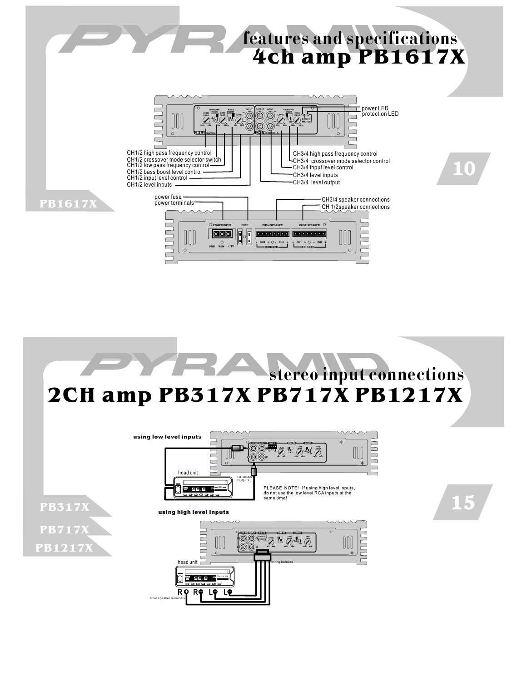



**R R L L**

from speaker terminals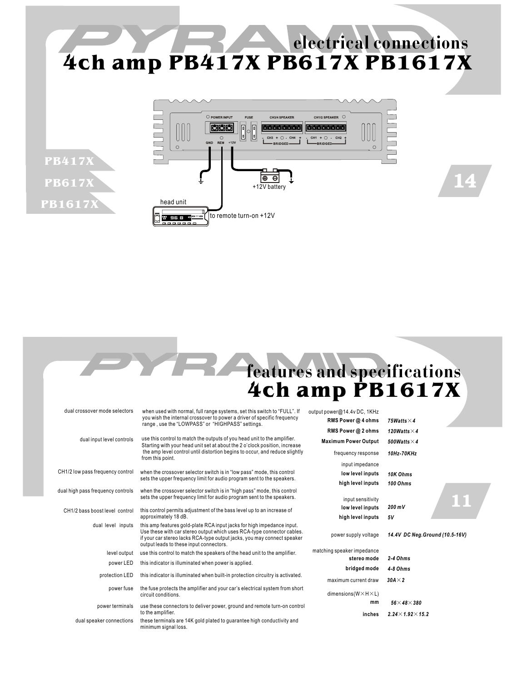# **4ch amp PB417X PB617X PB1617X electrical connections**



**PB417X**

**PB617X**

**PB1617X**

# **features and specifications 4ch amp PB1617X**

14

| dual crossover mode selectors     | when used with normal, full range systems, set this switch to "FULL". If<br>you wish the internal crossover to power a driver of specific frequency                                                                                                                    | output power@14.4v DC, 1KHz          |                                 |
|-----------------------------------|------------------------------------------------------------------------------------------------------------------------------------------------------------------------------------------------------------------------------------------------------------------------|--------------------------------------|---------------------------------|
|                                   | range, use the "LOWPASS" or "HIGHPASS" settings.                                                                                                                                                                                                                       | RMS Power @ 4 ohms                   | 75Watts $\times$ 4              |
|                                   |                                                                                                                                                                                                                                                                        | RMS Power @ 2 ohms                   | 120Watts $\times$ 4             |
| dual input level controls         | use this control to match the outputs of you head unit to the amplifier.<br>Starting with your head unit set at about the 2 o'clock position, increase                                                                                                                 | <b>Maximum Power Output</b>          | 500Watts $\times$ 4             |
|                                   | the amp level control until distortion begins to occur, and reduce slightly<br>from this point.                                                                                                                                                                        | frequency response                   | 10Hz-70KHz                      |
|                                   |                                                                                                                                                                                                                                                                        | input impedance                      |                                 |
| CH1/2 low pass frequency control  | when the crossover selector switch is in "low pass" mode, this control<br>sets the upper frequency limit for audio program sent to the speakers.                                                                                                                       | low level inputs                     | 10K Ohms                        |
|                                   |                                                                                                                                                                                                                                                                        | high level inputs                    | <b>100 Ohms</b>                 |
| dual high pass frequency controls | when the crossover selector switch is in "high pass" mode, this control<br>sets the upper frequency limit for audio program sent to the speakers.                                                                                                                      | input sensitivity                    |                                 |
| CH1/2 bass boost level control    | this control permits adjustment of the bass level up to an increase of<br>approximately 18 dB.                                                                                                                                                                         | low level inputs                     | $200 \text{ mV}$                |
|                                   |                                                                                                                                                                                                                                                                        | high level inputs                    | 5V                              |
| dual level inputs                 | this amp features gold-plate RCA input jacks for high impedance input.<br>Use these with car stereo output which uses RCA-type connector cables.<br>if your car stereo lacks RCA-type output jacks, you may connect speaker<br>output leads to these input connectors. | power supply voltage                 | 14.4V DC Neg. Ground (10.5-16V) |
| level output                      | use this control to match the speakers of the head unit to the amplifier.                                                                                                                                                                                              | matching speaker impedance           |                                 |
| power LED                         | this indicator is illuminated when power is applied.                                                                                                                                                                                                                   | stereo mode                          | $2-4$ Ohms                      |
|                                   |                                                                                                                                                                                                                                                                        | bridged mode                         | $4-8$ Ohms                      |
| protection LED                    | this indicator is illuminated when built-in protection circuitry is activated.                                                                                                                                                                                         | maximum current draw                 | $30A \times 2$                  |
| power fuse                        | the fuse protects the amplifier and your car's electrical system from short<br>circuit conditions.                                                                                                                                                                     | dimensions ( $W \times H \times L$ ) |                                 |
| power terminals                   | use these connectors to deliver power, ground and remote turn-on control                                                                                                                                                                                               | mm                                   | $56\times$ 48 $\times$ 380      |
|                                   | to the amplifier.                                                                                                                                                                                                                                                      | inches                               | $2.24 \times 1.92 \times 15.2$  |
| dual speaker connections          | these terminals are 14K gold plated to guarantee high conductivity and<br>minimum signal loss.                                                                                                                                                                         |                                      |                                 |